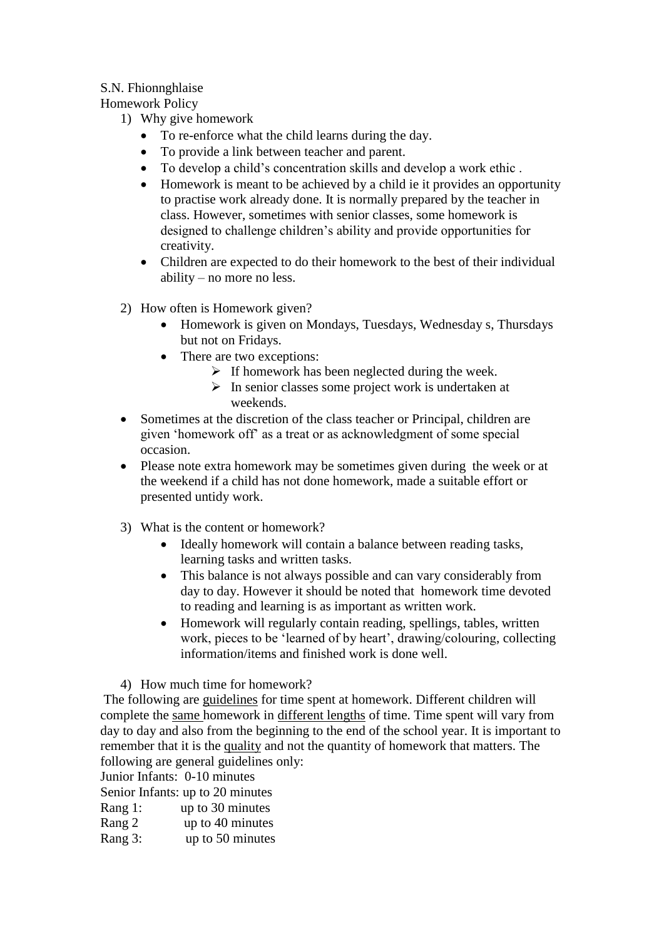## S.N. Fhionnghlaise

Homework Policy

- 1) Why give homework
	- To re-enforce what the child learns during the day.
	- To provide a link between teacher and parent.
	- To develop a child's concentration skills and develop a work ethic .
	- Homework is meant to be achieved by a child ie it provides an opportunity to practise work already done. It is normally prepared by the teacher in class. However, sometimes with senior classes, some homework is designed to challenge children's ability and provide opportunities for creativity.
	- Children are expected to do their homework to the best of their individual ability – no more no less.
- 2) How often is Homework given?
	- Homework is given on Mondays, Tuesdays, Wednesday s, Thursdays but not on Fridays.
	- There are two exceptions:
		- $\triangleright$  If homework has been neglected during the week.
		- $\triangleright$  In senior classes some project work is undertaken at weekends.
- Sometimes at the discretion of the class teacher or Principal, children are given 'homework off' as a treat or as acknowledgment of some special occasion.
- Please note extra homework may be sometimes given during the week or at the weekend if a child has not done homework, made a suitable effort or presented untidy work.
- 3) What is the content or homework?
	- Ideally homework will contain a balance between reading tasks, learning tasks and written tasks.
	- This balance is not always possible and can vary considerably from day to day. However it should be noted that homework time devoted to reading and learning is as important as written work.
	- Homework will regularly contain reading, spellings, tables, written work, pieces to be 'learned of by heart', drawing/colouring, collecting information/items and finished work is done well.

4) How much time for homework?

The following are guidelines for time spent at homework. Different children will complete the same homework in different lengths of time. Time spent will vary from day to day and also from the beginning to the end of the school year. It is important to remember that it is the quality and not the quantity of homework that matters. The following are general guidelines only:

Junior Infants: 0-10 minutes

Senior Infants: up to 20 minutes

- Rang 1: up to 30 minutes
- Rang 2 up to 40 minutes
- Rang 3: up to 50 minutes